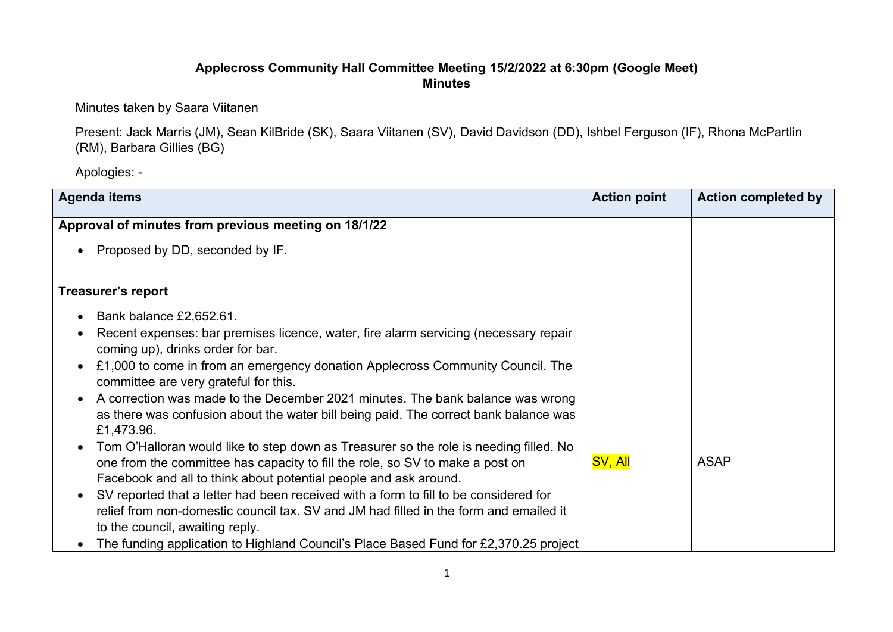## **Applecross Community Hall Committee Meeting 15/2/2022 at 6:30pm (Google Meet) Minutes**

Minutes taken by Saara Viitanen

Present: Jack Marris (JM), Sean KilBride (SK), Saara Viitanen (SV), David Davidson (DD), Ishbel Ferguson (IF), Rhona McPartlin (RM), Barbara Gillies (BG)

Apologies: -

| <b>Agenda items</b>                                                                                                                                                                                                                                     | <b>Action point</b> | <b>Action completed by</b> |
|---------------------------------------------------------------------------------------------------------------------------------------------------------------------------------------------------------------------------------------------------------|---------------------|----------------------------|
| Approval of minutes from previous meeting on 18/1/22                                                                                                                                                                                                    |                     |                            |
| Proposed by DD, seconded by IF.<br>$\bullet$                                                                                                                                                                                                            |                     |                            |
| <b>Treasurer's report</b>                                                                                                                                                                                                                               |                     |                            |
| Bank balance £2,652.61.<br>$\bullet$<br>Recent expenses: bar premises licence, water, fire alarm servicing (necessary repair<br>$\bullet$                                                                                                               |                     |                            |
| coming up), drinks order for bar.                                                                                                                                                                                                                       |                     |                            |
| £1,000 to come in from an emergency donation Applecross Community Council. The<br>$\bullet$<br>committee are very grateful for this.                                                                                                                    |                     |                            |
| A correction was made to the December 2021 minutes. The bank balance was wrong<br>$\bullet$<br>as there was confusion about the water bill being paid. The correct bank balance was<br>£1,473.96.                                                       |                     |                            |
| Tom O'Halloran would like to step down as Treasurer so the role is needing filled. No<br>$\bullet$<br>one from the committee has capacity to fill the role, so SV to make a post on<br>Facebook and all to think about potential people and ask around. | SV, All             | <b>ASAP</b>                |
| SV reported that a letter had been received with a form to fill to be considered for<br>$\bullet$                                                                                                                                                       |                     |                            |
| relief from non-domestic council tax. SV and JM had filled in the form and emailed it<br>to the council, awaiting reply.                                                                                                                                |                     |                            |
| The funding application to Highland Council's Place Based Fund for £2,370.25 project<br>$\bullet$                                                                                                                                                       |                     |                            |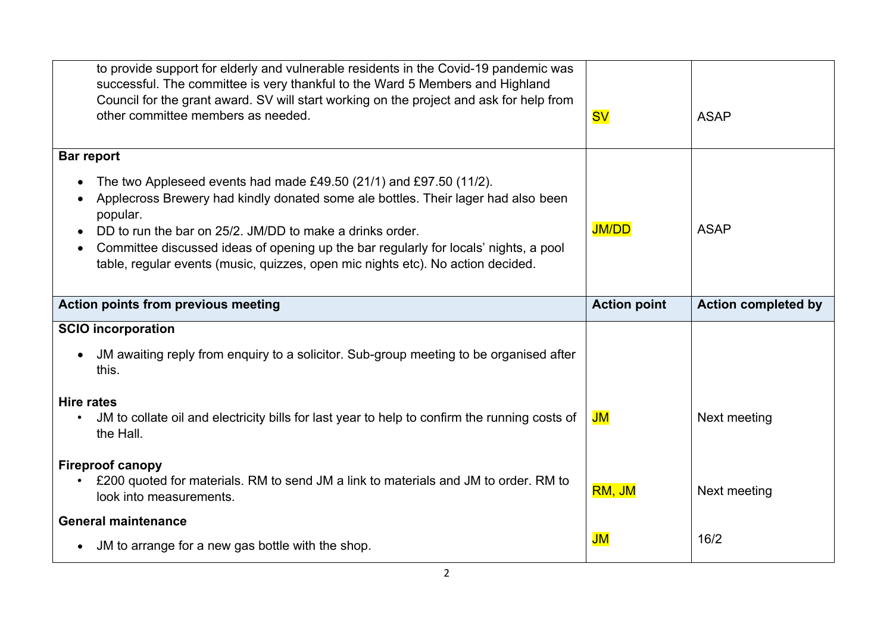| to provide support for elderly and vulnerable residents in the Covid-19 pandemic was<br>successful. The committee is very thankful to the Ward 5 Members and Highland<br>Council for the grant award. SV will start working on the project and ask for help from<br>other committee members as needed.                                                                                                     | <b>SV</b>           | <b>ASAP</b>                |
|------------------------------------------------------------------------------------------------------------------------------------------------------------------------------------------------------------------------------------------------------------------------------------------------------------------------------------------------------------------------------------------------------------|---------------------|----------------------------|
| <b>Bar report</b>                                                                                                                                                                                                                                                                                                                                                                                          |                     |                            |
| The two Appleseed events had made £49.50 (21/1) and £97.50 (11/2).<br>Applecross Brewery had kindly donated some ale bottles. Their lager had also been<br>popular.<br>DD to run the bar on 25/2. JM/DD to make a drinks order.<br>Committee discussed ideas of opening up the bar regularly for locals' nights, a pool<br>table, regular events (music, quizzes, open mic nights etc). No action decided. | <b>JM/DD</b>        | <b>ASAP</b>                |
| Action points from previous meeting                                                                                                                                                                                                                                                                                                                                                                        | <b>Action point</b> | <b>Action completed by</b> |
| <b>SCIO incorporation</b>                                                                                                                                                                                                                                                                                                                                                                                  |                     |                            |
|                                                                                                                                                                                                                                                                                                                                                                                                            |                     |                            |
| JM awaiting reply from enquiry to a solicitor. Sub-group meeting to be organised after<br>this.                                                                                                                                                                                                                                                                                                            |                     |                            |
| <b>Hire rates</b><br>JM to collate oil and electricity bills for last year to help to confirm the running costs of<br>the Hall.                                                                                                                                                                                                                                                                            | JM                  | Next meeting               |
| <b>Fireproof canopy</b><br>£200 quoted for materials. RM to send JM a link to materials and JM to order. RM to<br>look into measurements.                                                                                                                                                                                                                                                                  | RM, JM              | Next meeting               |
| <b>General maintenance</b>                                                                                                                                                                                                                                                                                                                                                                                 |                     |                            |